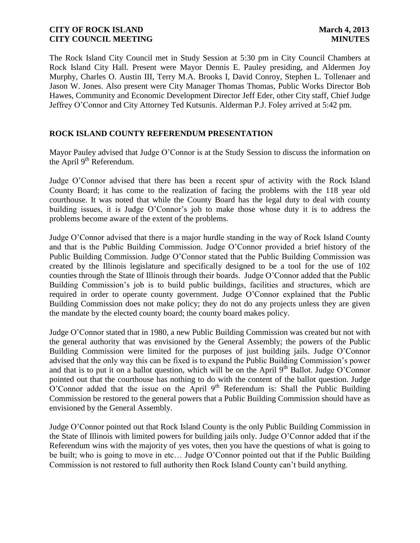The Rock Island City Council met in Study Session at 5:30 pm in City Council Chambers at Rock Island City Hall. Present were Mayor Dennis E. Pauley presiding, and Aldermen Joy Murphy, Charles O. Austin III, Terry M.A. Brooks I, David Conroy, Stephen L. Tollenaer and Jason W. Jones. Also present were City Manager Thomas Thomas, Public Works Director Bob Hawes, Community and Economic Development Director Jeff Eder, other City staff, Chief Judge Jeffrey O'Connor and City Attorney Ted Kutsunis. Alderman P.J. Foley arrived at 5:42 pm.

## **ROCK ISLAND COUNTY REFERENDUM PRESENTATION**

Mayor Pauley advised that Judge O'Connor is at the Study Session to discuss the information on the April  $9<sup>th</sup>$  Referendum.

Judge O'Connor advised that there has been a recent spur of activity with the Rock Island County Board; it has come to the realization of facing the problems with the 118 year old courthouse. It was noted that while the County Board has the legal duty to deal with county building issues, it is Judge O'Connor's job to make those whose duty it is to address the problems become aware of the extent of the problems.

Judge O'Connor advised that there is a major hurdle standing in the way of Rock Island County and that is the Public Building Commission. Judge O'Connor provided a brief history of the Public Building Commission. Judge O'Connor stated that the Public Building Commission was created by the Illinois legislature and specifically designed to be a tool for the use of 102 counties through the State of Illinois through their boards. Judge O'Connor added that the Public Building Commission's job is to build public buildings, facilities and structures, which are required in order to operate county government. Judge O'Connor explained that the Public Building Commission does not make policy; they do not do any projects unless they are given the mandate by the elected county board; the county board makes policy.

Judge O'Connor stated that in 1980, a new Public Building Commission was created but not with the general authority that was envisioned by the General Assembly; the powers of the Public Building Commission were limited for the purposes of just building jails. Judge O'Connor advised that the only way this can be fixed is to expand the Public Building Commission's power and that is to put it on a ballot question, which will be on the April  $9<sup>th</sup>$  Ballot. Judge O'Connor pointed out that the courthouse has nothing to do with the content of the ballot question. Judge  $O'$ Connor added that the issue on the April 9<sup>th</sup> Referendum is: Shall the Public Building Commission be restored to the general powers that a Public Building Commission should have as envisioned by the General Assembly.

Judge O'Connor pointed out that Rock Island County is the only Public Building Commission in the State of Illinois with limited powers for building jails only. Judge O'Connor added that if the Referendum wins with the majority of yes votes, then you have the questions of what is going to be built; who is going to move in etc… Judge O'Connor pointed out that if the Public Building Commission is not restored to full authority then Rock Island County can't build anything.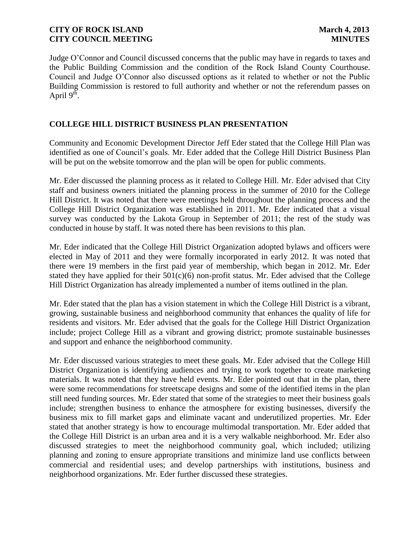Judge O'Connor and Council discussed concerns that the public may have in regards to taxes and the Public Building Commission and the condition of the Rock Island County Courthouse. Council and Judge O'Connor also discussed options as it related to whether or not the Public Building Commission is restored to full authority and whether or not the referendum passes on April  $9^{th}$ .

# **COLLEGE HILL DISTRICT BUSINESS PLAN PRESENTATION**

Community and Economic Development Director Jeff Eder stated that the College Hill Plan was identified as one of Council's goals. Mr. Eder added that the College Hill District Business Plan will be put on the website tomorrow and the plan will be open for public comments.

Mr. Eder discussed the planning process as it related to College Hill. Mr. Eder advised that City staff and business owners initiated the planning process in the summer of 2010 for the College Hill District. It was noted that there were meetings held throughout the planning process and the College Hill District Organization was established in 2011. Mr. Eder indicated that a visual survey was conducted by the Lakota Group in September of 2011; the rest of the study was conducted in house by staff. It was noted there has been revisions to this plan.

Mr. Eder indicated that the College Hill District Organization adopted bylaws and officers were elected in May of 2011 and they were formally incorporated in early 2012. It was noted that there were 19 members in the first paid year of membership, which began in 2012. Mr. Eder stated they have applied for their  $501(c)(6)$  non-profit status. Mr. Eder advised that the College Hill District Organization has already implemented a number of items outlined in the plan.

Mr. Eder stated that the plan has a vision statement in which the College Hill District is a vibrant, growing, sustainable business and neighborhood community that enhances the quality of life for residents and visitors. Mr. Eder advised that the goals for the College Hill District Organization include; project College Hill as a vibrant and growing district; promote sustainable businesses and support and enhance the neighborhood community.

Mr. Eder discussed various strategies to meet these goals. Mr. Eder advised that the College Hill District Organization is identifying audiences and trying to work together to create marketing materials. It was noted that they have held events. Mr. Eder pointed out that in the plan, there were some recommendations for streetscape designs and some of the identified items in the plan still need funding sources. Mr. Eder stated that some of the strategies to meet their business goals include; strengthen business to enhance the atmosphere for existing businesses, diversify the business mix to fill market gaps and eliminate vacant and underutilized properties. Mr. Eder stated that another strategy is how to encourage multimodal transportation. Mr. Eder added that the College Hill District is an urban area and it is a very walkable neighborhood. Mr. Eder also discussed strategies to meet the neighborhood community goal, which included; utilizing planning and zoning to ensure appropriate transitions and minimize land use conflicts between commercial and residential uses; and develop partnerships with institutions, business and neighborhood organizations. Mr. Eder further discussed these strategies.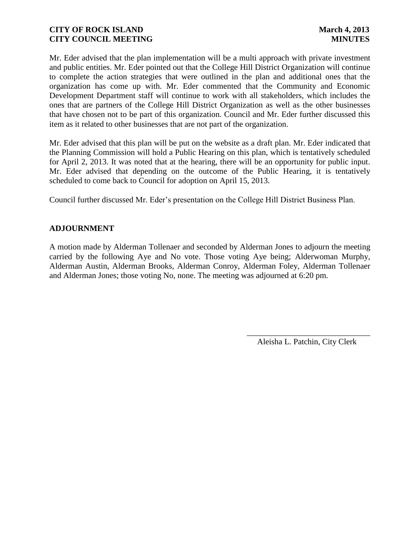Mr. Eder advised that the plan implementation will be a multi approach with private investment and public entities. Mr. Eder pointed out that the College Hill District Organization will continue to complete the action strategies that were outlined in the plan and additional ones that the organization has come up with. Mr. Eder commented that the Community and Economic Development Department staff will continue to work with all stakeholders, which includes the ones that are partners of the College Hill District Organization as well as the other businesses that have chosen not to be part of this organization. Council and Mr. Eder further discussed this item as it related to other businesses that are not part of the organization.

Mr. Eder advised that this plan will be put on the website as a draft plan. Mr. Eder indicated that the Planning Commission will hold a Public Hearing on this plan, which is tentatively scheduled for April 2, 2013. It was noted that at the hearing, there will be an opportunity for public input. Mr. Eder advised that depending on the outcome of the Public Hearing, it is tentatively scheduled to come back to Council for adoption on April 15, 2013.

Council further discussed Mr. Eder's presentation on the College Hill District Business Plan.

# **ADJOURNMENT**

A motion made by Alderman Tollenaer and seconded by Alderman Jones to adjourn the meeting carried by the following Aye and No vote. Those voting Aye being; Alderwoman Murphy, Alderman Austin, Alderman Brooks, Alderman Conroy, Alderman Foley, Alderman Tollenaer and Alderman Jones; those voting No, none. The meeting was adjourned at 6:20 pm.

> \_\_\_\_\_\_\_\_\_\_\_\_\_\_\_\_\_\_\_\_\_\_\_\_\_\_\_\_\_\_ Aleisha L. Patchin, City Clerk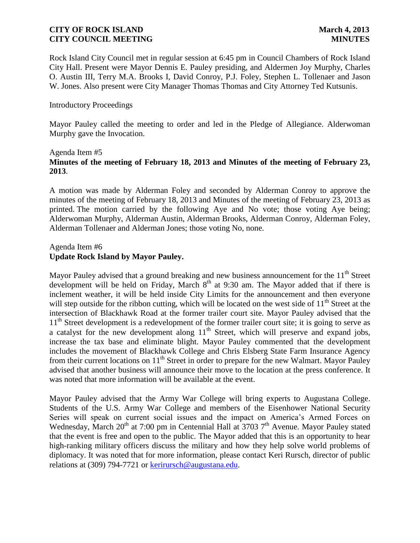Rock Island City Council met in regular session at 6:45 pm in Council Chambers of Rock Island City Hall. Present were Mayor Dennis E. Pauley presiding, and Aldermen Joy Murphy, Charles O. Austin III, Terry M.A. Brooks I, David Conroy, P.J. Foley, Stephen L. Tollenaer and Jason W. Jones. Also present were City Manager Thomas Thomas and City Attorney Ted Kutsunis.

### Introductory Proceedings

Mayor Pauley called the meeting to order and led in the Pledge of Allegiance. Alderwoman Murphy gave the Invocation.

### Agenda Item #5 **Minutes of the meeting of February 18, 2013 and Minutes of the meeting of February 23, 2013**.

A motion was made by Alderman Foley and seconded by Alderman Conroy to approve the minutes of the meeting of February 18, 2013 and Minutes of the meeting of February 23, 2013 as printed. The motion carried by the following Aye and No vote; those voting Aye being; Alderwoman Murphy, Alderman Austin, Alderman Brooks, Alderman Conroy, Alderman Foley, Alderman Tollenaer and Alderman Jones; those voting No, none.

### Agenda Item #6 **Update Rock Island by Mayor Pauley.**

Mayor Pauley advised that a ground breaking and new business announcement for the  $11<sup>th</sup>$  Street development will be held on Friday, March  $8<sup>th</sup>$  at 9:30 am. The Mayor added that if there is inclement weather, it will be held inside City Limits for the announcement and then everyone will step outside for the ribbon cutting, which will be located on the west side of  $11<sup>th</sup>$  Street at the intersection of Blackhawk Road at the former trailer court site. Mayor Pauley advised that the 11<sup>th</sup> Street development is a redevelopment of the former trailer court site; it is going to serve as a catalyst for the new development along  $11<sup>th</sup>$  Street, which will preserve and expand jobs, increase the tax base and eliminate blight. Mayor Pauley commented that the development includes the movement of Blackhawk College and Chris Elsberg State Farm Insurance Agency from their current locations on 11<sup>th</sup> Street in order to prepare for the new Walmart. Mayor Pauley advised that another business will announce their move to the location at the press conference. It was noted that more information will be available at the event.

Mayor Pauley advised that the Army War College will bring experts to Augustana College. Students of the U.S. Army War College and members of the Eisenhower National Security Series will speak on current social issues and the impact on America's Armed Forces on Wednesday, March  $20<sup>th</sup>$  at 7:00 pm in Centennial Hall at 3703 7<sup>th</sup> Avenue. Mayor Pauley stated that the event is free and open to the public. The Mayor added that this is an opportunity to hear high-ranking military officers discuss the military and how they help solve world problems of diplomacy. It was noted that for more information, please contact Keri Rursch, director of public relations at (309) 794-7721 or [kerirursch@augustana.edu.](mailto:kerirursch@augustana.edu)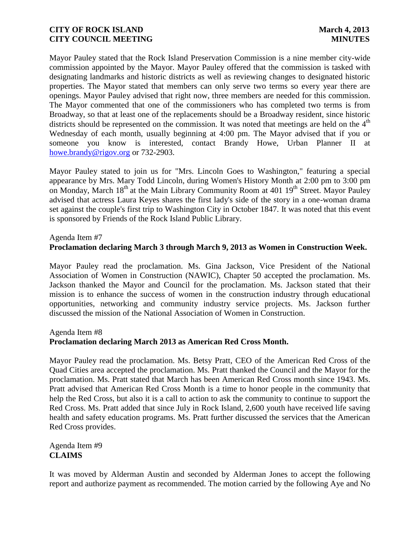Mayor Pauley stated that the Rock Island Preservation Commission is a nine member city-wide commission appointed by the Mayor. Mayor Pauley offered that the commission is tasked with designating landmarks and historic districts as well as reviewing changes to designated historic properties. The Mayor stated that members can only serve two terms so every year there are openings. Mayor Pauley advised that right now, three members are needed for this commission. The Mayor commented that one of the commissioners who has completed two terms is from Broadway, so that at least one of the replacements should be a Broadway resident, since historic districts should be represented on the commission. It was noted that meetings are held on the  $4<sup>th</sup>$ Wednesday of each month, usually beginning at 4:00 pm. The Mayor advised that if you or someone you know is interested, contact Brandy Howe, Urban Planner II at [howe.brandy@rigov.org](mailto:howe.brandy@rigov.org) or 732-2903.

Mayor Pauley stated to join us for "Mrs. Lincoln Goes to Washington," featuring a special appearance by Mrs. Mary Todd Lincoln, during Women's History Month at 2:00 pm to 3:00 pm on Monday, March  $18<sup>th</sup>$  at the Main Library Community Room at 401  $19<sup>th</sup>$  Street. Mayor Pauley advised that actress Laura Keyes shares the first lady's side of the story in a one-woman drama set against the couple's first trip to Washington City in October 1847. It was noted that this event is sponsored by Friends of the Rock Island Public Library.

### Agenda Item #7

# **Proclamation declaring March 3 through March 9, 2013 as Women in Construction Week.**

Mayor Pauley read the proclamation. Ms. Gina Jackson, Vice President of the National Association of Women in Construction (NAWIC), Chapter 50 accepted the proclamation. Ms. Jackson thanked the Mayor and Council for the proclamation. Ms. Jackson stated that their mission is to enhance the success of women in the construction industry through educational opportunities, networking and community industry service projects. Ms. Jackson further discussed the mission of the National Association of Women in Construction.

### Agenda Item #8

### **Proclamation declaring March 2013 as American Red Cross Month.**

Mayor Pauley read the proclamation. Ms. Betsy Pratt, CEO of the American Red Cross of the Quad Cities area accepted the proclamation. Ms. Pratt thanked the Council and the Mayor for the proclamation. Ms. Pratt stated that March has been American Red Cross month since 1943. Ms. Pratt advised that American Red Cross Month is a time to honor people in the community that help the Red Cross, but also it is a call to action to ask the community to continue to support the Red Cross. Ms. Pratt added that since July in Rock Island, 2,600 youth have received life saving health and safety education programs. Ms. Pratt further discussed the services that the American Red Cross provides.

Agenda Item #9 **CLAIMS**

It was moved by Alderman Austin and seconded by Alderman Jones to accept the following report and authorize payment as recommended. The motion carried by the following Aye and No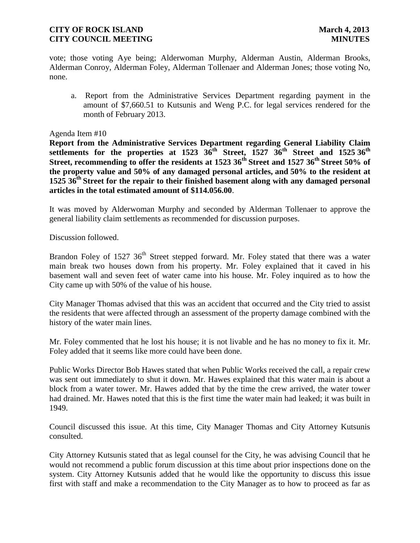vote; those voting Aye being; Alderwoman Murphy, Alderman Austin, Alderman Brooks, Alderman Conroy, Alderman Foley, Alderman Tollenaer and Alderman Jones; those voting No, none.

a. Report from the Administrative Services Department regarding payment in the amount of \$7,660.51 to Kutsunis and Weng P.C. for legal services rendered for the month of February 2013.

### Agenda Item #10

**Report from the Administrative Services Department regarding General Liability Claim settlements for the properties at 1523 36th Street, 1527 36th Street and 1525 36th Street, recommending to offer the residents at 1523 36th Street and 1527 36th Street 50% of the property value and 50% of any damaged personal articles, and 50% to the resident at 1525 36th Street for the repair to their finished basement along with any damaged personal articles in the total estimated amount of \$114.056.00**.

It was moved by Alderwoman Murphy and seconded by Alderman Tollenaer to approve the general liability claim settlements as recommended for discussion purposes.

Discussion followed.

Brandon Foley of 1527 36<sup>th</sup> Street stepped forward. Mr. Foley stated that there was a water main break two houses down from his property. Mr. Foley explained that it caved in his basement wall and seven feet of water came into his house. Mr. Foley inquired as to how the City came up with 50% of the value of his house.

City Manager Thomas advised that this was an accident that occurred and the City tried to assist the residents that were affected through an assessment of the property damage combined with the history of the water main lines.

Mr. Foley commented that he lost his house; it is not livable and he has no money to fix it. Mr. Foley added that it seems like more could have been done.

Public Works Director Bob Hawes stated that when Public Works received the call, a repair crew was sent out immediately to shut it down. Mr. Hawes explained that this water main is about a block from a water tower. Mr. Hawes added that by the time the crew arrived, the water tower had drained. Mr. Hawes noted that this is the first time the water main had leaked; it was built in 1949.

Council discussed this issue. At this time, City Manager Thomas and City Attorney Kutsunis consulted.

City Attorney Kutsunis stated that as legal counsel for the City, he was advising Council that he would not recommend a public forum discussion at this time about prior inspections done on the system. City Attorney Kutsunis added that he would like the opportunity to discuss this issue first with staff and make a recommendation to the City Manager as to how to proceed as far as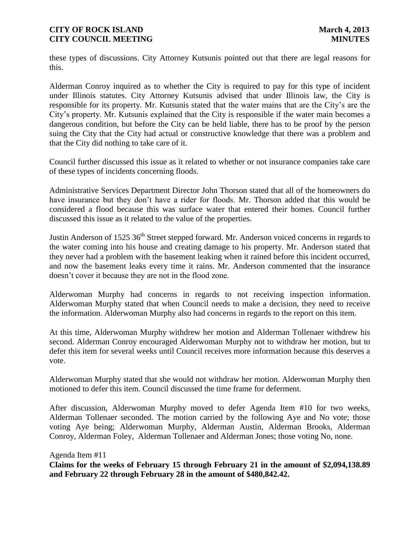these types of discussions. City Attorney Kutsunis pointed out that there are legal reasons for this.

Alderman Conroy inquired as to whether the City is required to pay for this type of incident under Illinois statutes. City Attorney Kutsunis advised that under Illinois law, the City is responsible for its property. Mr. Kutsunis stated that the water mains that are the City's are the City's property. Mr. Kutsunis explained that the City is responsible if the water main becomes a dangerous condition, but before the City can be held liable, there has to be proof by the person suing the City that the City had actual or constructive knowledge that there was a problem and that the City did nothing to take care of it.

Council further discussed this issue as it related to whether or not insurance companies take care of these types of incidents concerning floods.

Administrative Services Department Director John Thorson stated that all of the homeowners do have insurance but they don't have a rider for floods. Mr. Thorson added that this would be considered a flood because this was surface water that entered their homes. Council further discussed this issue as it related to the value of the properties.

Justin Anderson of 1525 36<sup>th</sup> Street stepped forward. Mr. Anderson voiced concerns in regards to the water coming into his house and creating damage to his property. Mr. Anderson stated that they never had a problem with the basement leaking when it rained before this incident occurred, and now the basement leaks every time it rains. Mr. Anderson commented that the insurance doesn't cover it because they are not in the flood zone.

Alderwoman Murphy had concerns in regards to not receiving inspection information. Alderwoman Murphy stated that when Council needs to make a decision, they need to receive the information. Alderwoman Murphy also had concerns in regards to the report on this item.

At this time, Alderwoman Murphy withdrew her motion and Alderman Tollenaer withdrew his second. Alderman Conroy encouraged Alderwoman Murphy not to withdraw her motion, but to defer this item for several weeks until Council receives more information because this deserves a vote.

Alderwoman Murphy stated that she would not withdraw her motion. Alderwoman Murphy then motioned to defer this item. Council discussed the time frame for deferment.

After discussion, Alderwoman Murphy moved to defer Agenda Item #10 for two weeks, Alderman Tollenaer seconded. The motion carried by the following Aye and No vote; those voting Aye being; Alderwoman Murphy, Alderman Austin, Alderman Brooks, Alderman Conroy, Alderman Foley, Alderman Tollenaer and Alderman Jones; those voting No, none.

Agenda Item #11

**Claims for the weeks of February 15 through February 21 in the amount of \$2,094,138.89 and February 22 through February 28 in the amount of \$480,842.42.**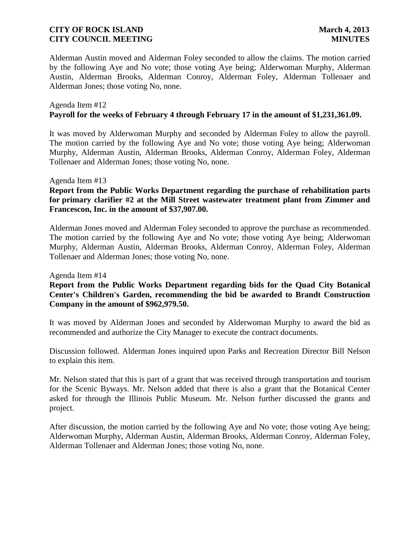Alderman Austin moved and Alderman Foley seconded to allow the claims. The motion carried by the following Aye and No vote; those voting Aye being; Alderwoman Murphy, Alderman Austin, Alderman Brooks, Alderman Conroy, Alderman Foley, Alderman Tollenaer and Alderman Jones; those voting No, none.

### Agenda Item #12 **Payroll for the weeks of February 4 through February 17 in the amount of \$1,231,361.09.**

It was moved by Alderwoman Murphy and seconded by Alderman Foley to allow the payroll. The motion carried by the following Aye and No vote; those voting Aye being; Alderwoman Murphy, Alderman Austin, Alderman Brooks, Alderman Conroy, Alderman Foley, Alderman Tollenaer and Alderman Jones; those voting No, none.

### Agenda Item #13

# **Report from the Public Works Department regarding the purchase of rehabilitation parts for primary clarifier #2 at the Mill Street wastewater treatment plant from Zimmer and Francescon, Inc. in the amount of \$37,907.00.**

Alderman Jones moved and Alderman Foley seconded to approve the purchase as recommended. The motion carried by the following Aye and No vote; those voting Aye being; Alderwoman Murphy, Alderman Austin, Alderman Brooks, Alderman Conroy, Alderman Foley, Alderman Tollenaer and Alderman Jones; those voting No, none.

### Agenda Item #14

# **Report from the Public Works Department regarding bids for the Quad City Botanical Center's Children's Garden, recommending the bid be awarded to Brandt Construction Company in the amount of \$962,979.50.**

It was moved by Alderman Jones and seconded by Alderwoman Murphy to award the bid as recommended and authorize the City Manager to execute the contract documents.

Discussion followed. Alderman Jones inquired upon Parks and Recreation Director Bill Nelson to explain this item.

Mr. Nelson stated that this is part of a grant that was received through transportation and tourism for the Scenic Byways. Mr. Nelson added that there is also a grant that the Botanical Center asked for through the Illinois Public Museum. Mr. Nelson further discussed the grants and project.

After discussion, the motion carried by the following Aye and No vote; those voting Aye being; Alderwoman Murphy, Alderman Austin, Alderman Brooks, Alderman Conroy, Alderman Foley, Alderman Tollenaer and Alderman Jones; those voting No, none.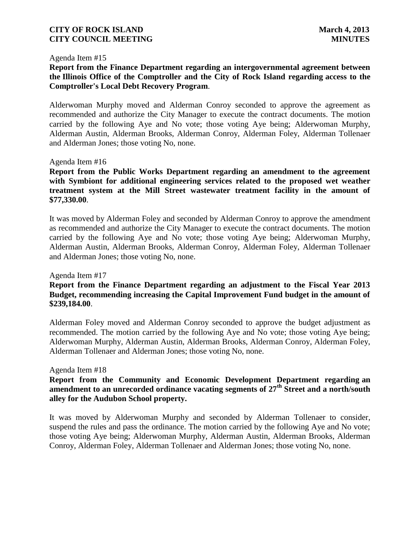#### Agenda Item #15

# **Report from the Finance Department regarding an intergovernmental agreement between the Illinois Office of the Comptroller and the City of Rock Island regarding access to the Comptroller's Local Debt Recovery Program**.

Alderwoman Murphy moved and Alderman Conroy seconded to approve the agreement as recommended and authorize the City Manager to execute the contract documents. The motion carried by the following Aye and No vote; those voting Aye being; Alderwoman Murphy, Alderman Austin, Alderman Brooks, Alderman Conroy, Alderman Foley, Alderman Tollenaer and Alderman Jones; those voting No, none.

### Agenda Item #16

**Report from the Public Works Department regarding an amendment to the agreement with Symbiont for additional engineering services related to the proposed wet weather treatment system at the Mill Street wastewater treatment facility in the amount of \$77,330.00**.

It was moved by Alderman Foley and seconded by Alderman Conroy to approve the amendment as recommended and authorize the City Manager to execute the contract documents. The motion carried by the following Aye and No vote; those voting Aye being; Alderwoman Murphy, Alderman Austin, Alderman Brooks, Alderman Conroy, Alderman Foley, Alderman Tollenaer and Alderman Jones; those voting No, none.

### Agenda Item #17

## **Report from the Finance Department regarding an adjustment to the Fiscal Year 2013 Budget, recommending increasing the Capital Improvement Fund budget in the amount of \$239,184.00**.

Alderman Foley moved and Alderman Conroy seconded to approve the budget adjustment as recommended. The motion carried by the following Aye and No vote; those voting Aye being; Alderwoman Murphy, Alderman Austin, Alderman Brooks, Alderman Conroy, Alderman Foley, Alderman Tollenaer and Alderman Jones; those voting No, none.

### Agenda Item #18

## **Report from the Community and Economic Development Department regarding an amendment to an unrecorded ordinance vacating segments of 27th Street and a north/south alley for the Audubon School property.**

It was moved by Alderwoman Murphy and seconded by Alderman Tollenaer to consider, suspend the rules and pass the ordinance. The motion carried by the following Aye and No vote; those voting Aye being; Alderwoman Murphy, Alderman Austin, Alderman Brooks, Alderman Conroy, Alderman Foley, Alderman Tollenaer and Alderman Jones; those voting No, none.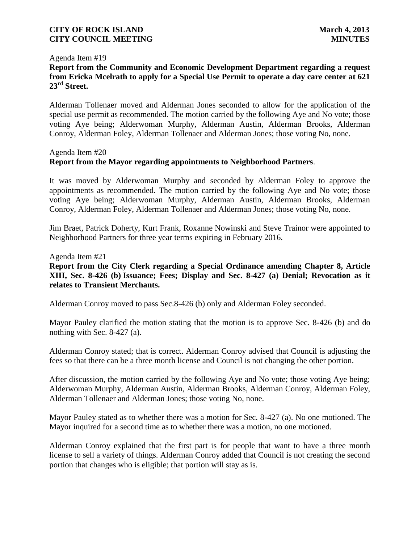### Agenda Item #19

# **Report from the Community and Economic Development Department regarding a request from Ericka Mcelrath to apply for a Special Use Permit to operate a day care center at 621 23rd Street.**

Alderman Tollenaer moved and Alderman Jones seconded to allow for the application of the special use permit as recommended. The motion carried by the following Aye and No vote; those voting Aye being; Alderwoman Murphy, Alderman Austin, Alderman Brooks, Alderman Conroy, Alderman Foley, Alderman Tollenaer and Alderman Jones; those voting No, none.

### Agenda Item #20

# **Report from the Mayor regarding appointments to Neighborhood Partners**.

It was moved by Alderwoman Murphy and seconded by Alderman Foley to approve the appointments as recommended. The motion carried by the following Aye and No vote; those voting Aye being; Alderwoman Murphy, Alderman Austin, Alderman Brooks, Alderman Conroy, Alderman Foley, Alderman Tollenaer and Alderman Jones; those voting No, none.

Jim Braet, Patrick Doherty, Kurt Frank, Roxanne Nowinski and Steve Trainor were appointed to Neighborhood Partners for three year terms expiring in February 2016.

Agenda Item #21

**Report from the City Clerk regarding a Special Ordinance amending Chapter 8, Article XIII, Sec. 8-426 (b) Issuance; Fees; Display and Sec. 8-427 (a) Denial; Revocation as it relates to Transient Merchants.** 

Alderman Conroy moved to pass Sec.8-426 (b) only and Alderman Foley seconded.

Mayor Pauley clarified the motion stating that the motion is to approve Sec. 8-426 (b) and do nothing with Sec. 8-427 (a).

Alderman Conroy stated; that is correct. Alderman Conroy advised that Council is adjusting the fees so that there can be a three month license and Council is not changing the other portion.

After discussion, the motion carried by the following Aye and No vote; those voting Aye being; Alderwoman Murphy, Alderman Austin, Alderman Brooks, Alderman Conroy, Alderman Foley, Alderman Tollenaer and Alderman Jones; those voting No, none.

Mayor Pauley stated as to whether there was a motion for Sec. 8-427 (a). No one motioned. The Mayor inquired for a second time as to whether there was a motion, no one motioned.

Alderman Conroy explained that the first part is for people that want to have a three month license to sell a variety of things. Alderman Conroy added that Council is not creating the second portion that changes who is eligible; that portion will stay as is.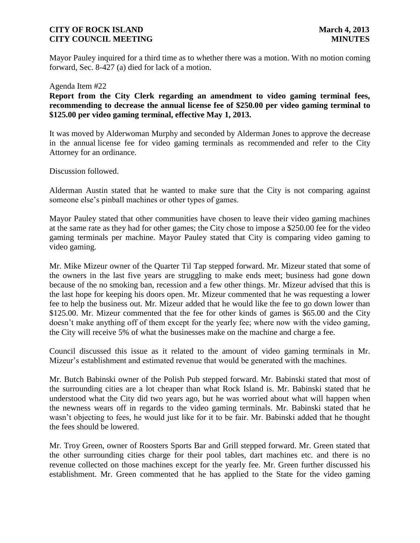Mayor Pauley inquired for a third time as to whether there was a motion. With no motion coming forward, Sec. 8-427 (a) died for lack of a motion.

### Agenda Item #22

**Report from the City Clerk regarding an amendment to video gaming terminal fees, recommending to decrease the annual license fee of \$250.00 per video gaming terminal to \$125.00 per video gaming terminal, effective May 1, 2013.**

It was moved by Alderwoman Murphy and seconded by Alderman Jones to approve the decrease in the annual license fee for video gaming terminals as recommended and refer to the City Attorney for an ordinance.

Discussion followed.

Alderman Austin stated that he wanted to make sure that the City is not comparing against someone else's pinball machines or other types of games.

Mayor Pauley stated that other communities have chosen to leave their video gaming machines at the same rate as they had for other games; the City chose to impose a \$250.00 fee for the video gaming terminals per machine. Mayor Pauley stated that City is comparing video gaming to video gaming.

Mr. Mike Mizeur owner of the Quarter Til Tap stepped forward. Mr. Mizeur stated that some of the owners in the last five years are struggling to make ends meet; business had gone down because of the no smoking ban, recession and a few other things. Mr. Mizeur advised that this is the last hope for keeping his doors open. Mr. Mizeur commented that he was requesting a lower fee to help the business out. Mr. Mizeur added that he would like the fee to go down lower than \$125.00. Mr. Mizeur commented that the fee for other kinds of games is \$65.00 and the City doesn't make anything off of them except for the yearly fee; where now with the video gaming, the City will receive 5% of what the businesses make on the machine and charge a fee.

Council discussed this issue as it related to the amount of video gaming terminals in Mr. Mizeur's establishment and estimated revenue that would be generated with the machines.

Mr. Butch Babinski owner of the Polish Pub stepped forward. Mr. Babinski stated that most of the surrounding cities are a lot cheaper than what Rock Island is. Mr. Babinski stated that he understood what the City did two years ago, but he was worried about what will happen when the newness wears off in regards to the video gaming terminals. Mr. Babinski stated that he wasn't objecting to fees, he would just like for it to be fair. Mr. Babinski added that he thought the fees should be lowered.

Mr. Troy Green, owner of Roosters Sports Bar and Grill stepped forward. Mr. Green stated that the other surrounding cities charge for their pool tables, dart machines etc. and there is no revenue collected on those machines except for the yearly fee. Mr. Green further discussed his establishment. Mr. Green commented that he has applied to the State for the video gaming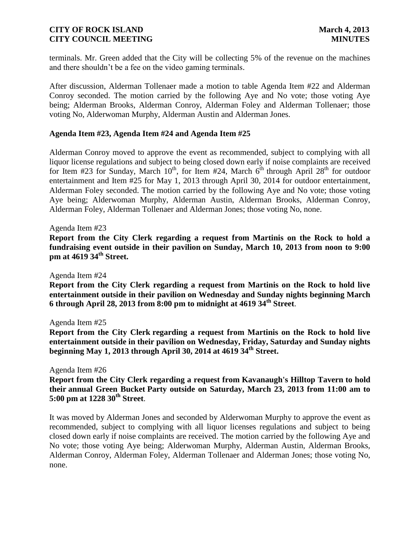terminals. Mr. Green added that the City will be collecting 5% of the revenue on the machines and there shouldn't be a fee on the video gaming terminals.

After discussion, Alderman Tollenaer made a motion to table Agenda Item #22 and Alderman Conroy seconded. The motion carried by the following Aye and No vote; those voting Aye being; Alderman Brooks, Alderman Conroy, Alderman Foley and Alderman Tollenaer; those voting No, Alderwoman Murphy, Alderman Austin and Alderman Jones.

### **Agenda Item #23, Agenda Item #24 and Agenda Item #25**

Alderman Conroy moved to approve the event as recommended, subject to complying with all liquor license regulations and subject to being closed down early if noise complaints are received for Item #23 for Sunday, March  $10^{th}$ , for Item #24, March  $6^{th}$  through April 28<sup>th</sup> for outdoor entertainment and Item #25 for May 1, 2013 through April 30, 2014 for outdoor entertainment, Alderman Foley seconded. The motion carried by the following Aye and No vote; those voting Aye being; Alderwoman Murphy, Alderman Austin, Alderman Brooks, Alderman Conroy, Alderman Foley, Alderman Tollenaer and Alderman Jones; those voting No, none.

### Agenda Item #23

**Report from the City Clerk regarding a request from Martinis on the Rock to hold a fundraising event outside in their pavilion on Sunday, March 10, 2013 from noon to 9:00 pm at 4619 34th Street.** 

Agenda Item #24

**Report from the City Clerk regarding a request from Martinis on the Rock to hold live entertainment outside in their pavilion on Wednesday and Sunday nights beginning March 6 through April 28, 2013 from 8:00 pm to midnight at 4619 34th Street**.

### Agenda Item #25

**Report from the City Clerk regarding a request from Martinis on the Rock to hold live entertainment outside in their pavilion on Wednesday, Friday, Saturday and Sunday nights beginning May 1, 2013 through April 30, 2014 at 4619 34th Street.**

Agenda Item #26

**Report from the City Clerk regarding a request from Kavanaugh's Hilltop Tavern to hold their annual Green Bucket Party outside on Saturday, March 23, 2013 from 11:00 am to 5:00 pm at 1228 30th Street**.

It was moved by Alderman Jones and seconded by Alderwoman Murphy to approve the event as recommended, subject to complying with all liquor licenses regulations and subject to being closed down early if noise complaints are received. The motion carried by the following Aye and No vote; those voting Aye being; Alderwoman Murphy, Alderman Austin, Alderman Brooks, Alderman Conroy, Alderman Foley, Alderman Tollenaer and Alderman Jones; those voting No, none.